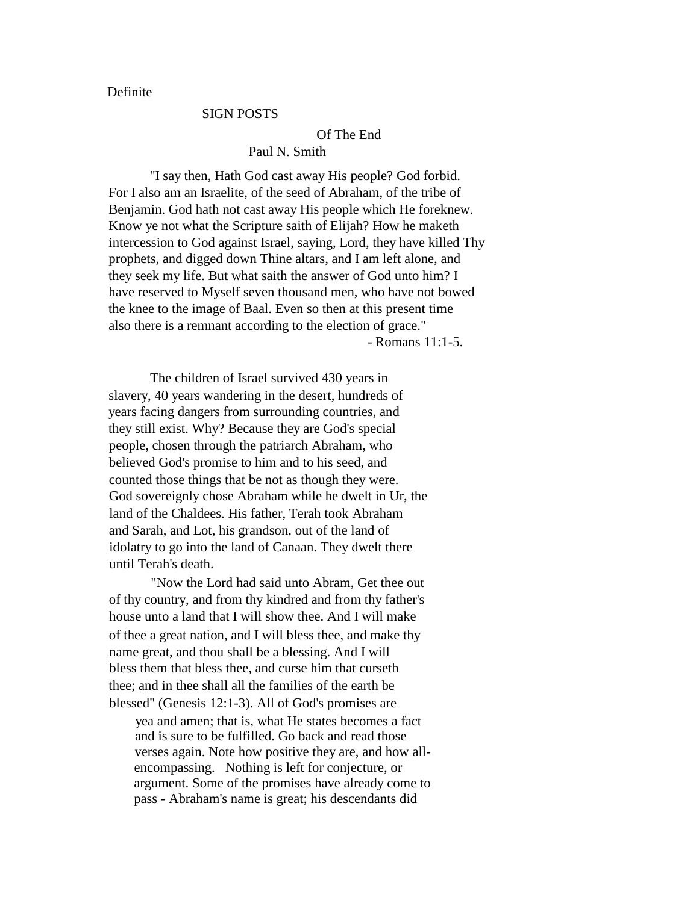Definite

### SIGN POSTS

### Of The End

### Paul N. Smith

"I say then, Hath God cast away His people? God forbid. For I also am an Israelite, of the seed of Abraham, of the tribe of Benjamin. God hath not cast away His people which He foreknew. Know ye not what the Scripture saith of Elijah? How he maketh intercession to God against Israel, saying, Lord, they have killed Thy prophets, and digged down Thine altars, and I am left alone, and they seek my life. But what saith the answer of God unto him? I have reserved to Myself seven thousand men, who have not bowed the knee to the image of Baal. Even so then at this present time also there is a remnant according to the election of grace." - Romans 11:1-5.

The children of Israel survived 430 years in slavery, 40 years wandering in the desert, hundreds of years facing dangers from surrounding countries, and they still exist. Why? Because they are God's special people, chosen through the patriarch Abraham, who believed God's promise to him and to his seed, and counted those things that be not as though they were. God sovereignly chose Abraham while he dwelt in Ur, the land of the Chaldees. His father, Terah took Abraham and Sarah, and Lot, his grandson, out of the land of idolatry to go into the land of Canaan. They dwelt there until Terah's death.

"Now the Lord had said unto Abram, Get thee out of thy country, and from thy kindred and from thy father's house unto a land that I will show thee. And I will make of thee a great nation, and I will bless thee, and make thy name great, and thou shall be a blessing. And I will bless them that bless thee, and curse him that curseth thee; and in thee shall all the families of the earth be blessed" (Genesis 12:1-3). All of God's promises are

yea and amen; that is, what He states becomes a fact and is sure to be fulfilled. Go back and read those verses again. Note how positive they are, and how allencompassing. Nothing is left for conjecture, or argument. Some of the promises have already come to pass - Abraham's name is great; his descendants did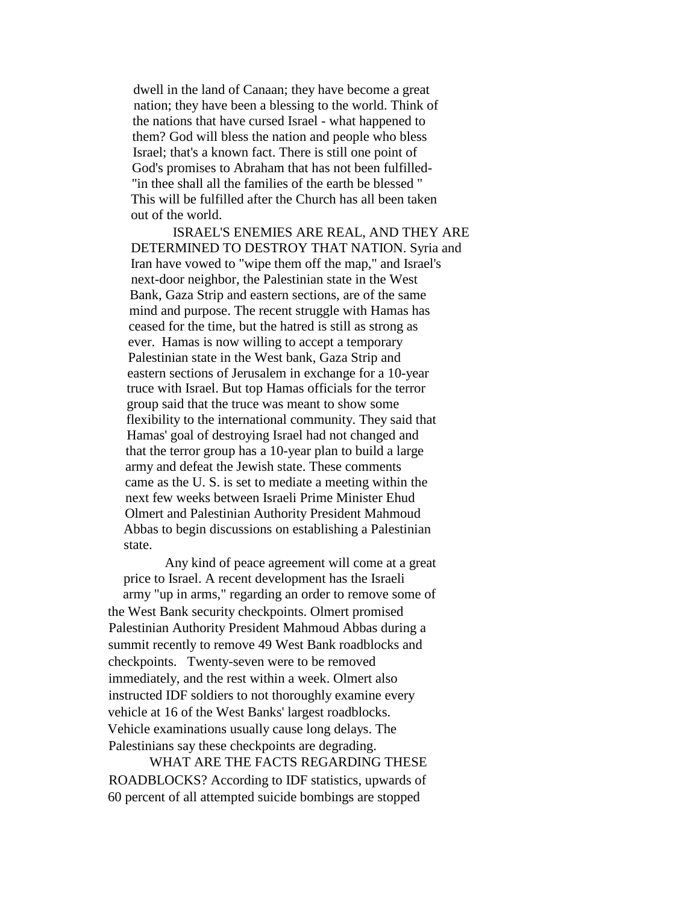dwell in the land of Canaan; they have become a great nation; they have been a blessing to the world. Think of the nations that have cursed Israel - what happened to them? God will bless the nation and people who bless Israel; that's a known fact. There is still one point of God's promises to Abraham that has not been fulfilled- "in thee shall all the families of the earth be blessed " This will be fulfilled after the Church has all been taken out of the world.

ISRAEL'S ENEMIES ARE REAL, AND THEY ARE DETERMINED TO DESTROY THAT NATION. Syria and Iran have vowed to "wipe them off the map," and Israel's next-door neighbor, the Palestinian state in the West Bank, Gaza Strip and eastern sections, are of the same mind and purpose. The recent struggle with Hamas has ceased for the time, but the hatred is still as strong as ever. Hamas is now willing to accept a temporary Palestinian state in the West bank, Gaza Strip and eastern sections of Jerusalem in exchange for a 10-year truce with Israel. But top Hamas officials for the terror group said that the truce was meant to show some flexibility to the international community. They said that Hamas' goal of destroying Israel had not changed and that the terror group has a 10-year plan to build a large army and defeat the Jewish state. These comments came as the U. S. is set to mediate a meeting within the next few weeks between Israeli Prime Minister Ehud Olmert and Palestinian Authority President Mahmoud Abbas to begin discussions on establishing a Palestinian state.

Any kind of peace agreement will come at a great price to Israel. A recent development has the Israeli army "up in arms," regarding an order to remove some of the West Bank security checkpoints. Olmert promised Palestinian Authority President Mahmoud Abbas during a summit recently to remove 49 West Bank roadblocks and checkpoints. Twenty-seven were to be removed immediately, and the rest within a week. Olmert also instructed IDF soldiers to not thoroughly examine every vehicle at 16 of the West Banks' largest roadblocks. Vehicle examinations usually cause long delays. The Palestinians say these checkpoints are degrading.

WHAT ARE THE FACTS REGARDING THESE ROADBLOCKS? According to IDF statistics, upwards of 60 percent of all attempted suicide bombings are stopped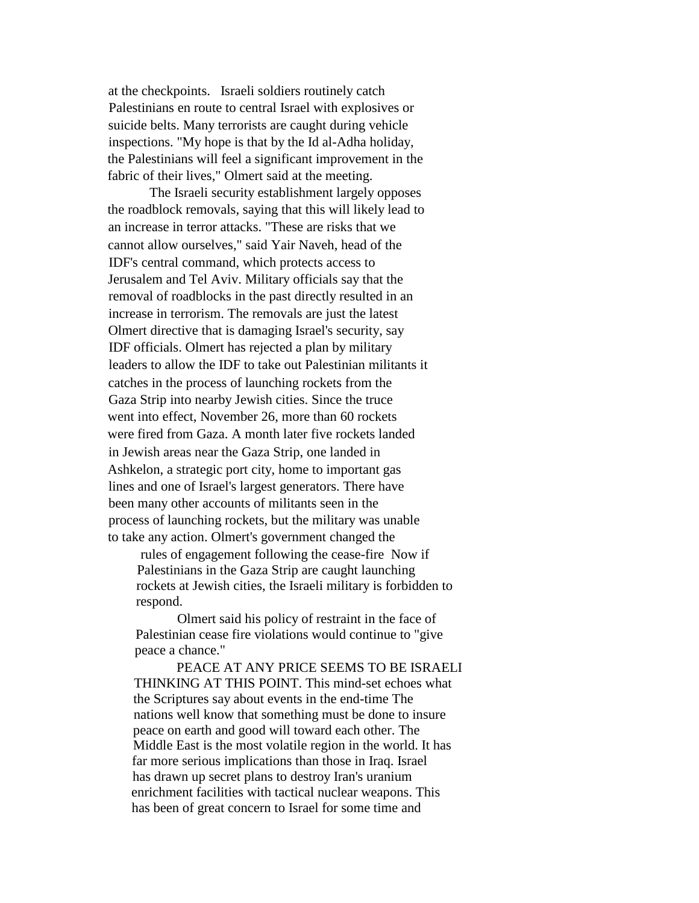at the checkpoints. Israeli soldiers routinely catch Palestinians en route to central Israel with explosives or suicide belts. Many terrorists are caught during vehicle inspections. "My hope is that by the Id al-Adha holiday, the Palestinians will feel a significant improvement in the fabric of their lives," Olmert said at the meeting.

The Israeli security establishment largely opposes the roadblock removals, saying that this will likely lead to an increase in terror attacks. "These are risks that we cannot allow ourselves," said Yair Naveh, head of the IDF's central command, which protects access to Jerusalem and Tel Aviv. Military officials say that the removal of roadblocks in the past directly resulted in an increase in terrorism. The removals are just the latest Olmert directive that is damaging Israel's security, say IDF officials. Olmert has rejected a plan by military leaders to allow the IDF to take out Palestinian militants it catches in the process of launching rockets from the Gaza Strip into nearby Jewish cities. Since the truce went into effect, November 26, more than 60 rockets were fired from Gaza. A month later five rockets landed in Jewish areas near the Gaza Strip, one landed in Ashkelon, a strategic port city, home to important gas lines and one of Israel's largest generators. There have been many other accounts of militants seen in the process of launching rockets, but the military was unable to take any action. Olmert's government changed the

rules of engagement following the cease-fire Now if Palestinians in the Gaza Strip are caught launching rockets at Jewish cities, the Israeli military is forbidden to respond.

Olmert said his policy of restraint in the face of Palestinian cease fire violations would continue to "give peace a chance."

PEACE AT ANY PRICE SEEMS TO BE ISRAELI THINKING AT THIS POINT. This mind-set echoes what the Scriptures say about events in the end-time The nations well know that something must be done to insure peace on earth and good will toward each other. The Middle East is the most volatile region in the world. It has far more serious implications than those in Iraq. Israel has drawn up secret plans to destroy Iran's uranium enrichment facilities with tactical nuclear weapons. This has been of great concern to Israel for some time and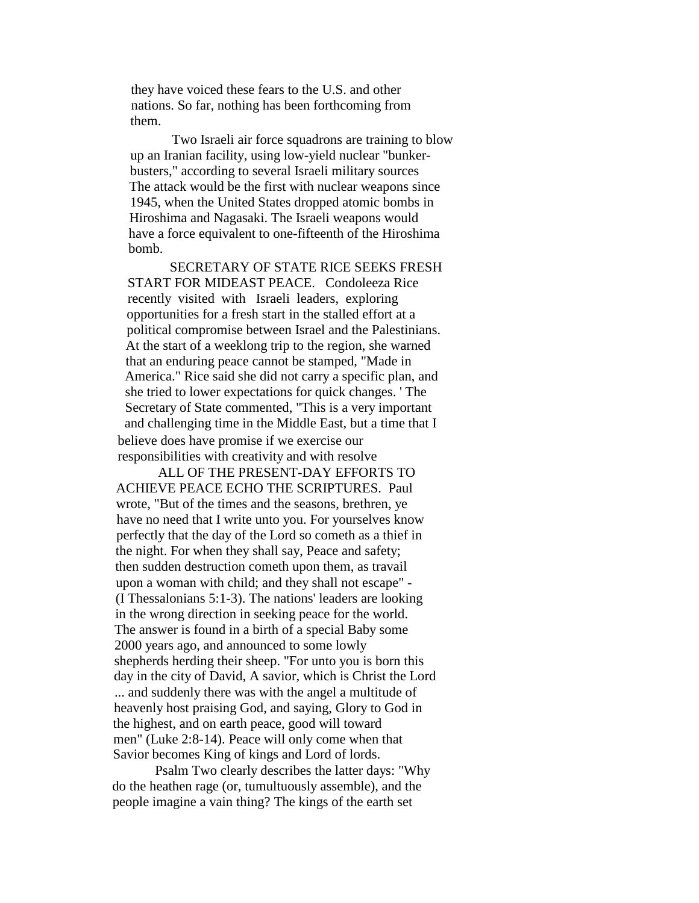they have voiced these fears to the U.S. and other nations. So far, nothing has been forthcoming from them.

Two Israeli air force squadrons are training to blow up an Iranian facility, using low-yield nuclear "bunkerbusters," according to several Israeli military sources The attack would be the first with nuclear weapons since 1945, when the United States dropped atomic bombs in Hiroshima and Nagasaki. The Israeli weapons would have a force equivalent to one-fifteenth of the Hiroshima bomb.

SECRETARY OF STATE RICE SEEKS FRESH START FOR MIDEAST PEACE. Condoleeza Rice recently visited with Israeli leaders, exploring opportunities for a fresh start in the stalled effort at a political compromise between Israel and the Palestinians. At the start of a weeklong trip to the region, she warned that an enduring peace cannot be stamped, "Made in America." Rice said she did not carry a specific plan, and she tried to lower expectations for quick changes. ' The Secretary of State commented, "This is a very important and challenging time in the Middle East, but a time that I believe does have promise if we exercise our responsibilities with creativity and with resolve

ALL OF THE PRESENT-DAY EFFORTS TO ACHIEVE PEACE ECHO THE SCRIPTURES. Paul wrote, "But of the times and the seasons, brethren, ye have no need that I write unto you. For yourselves know perfectly that the day of the Lord so cometh as a thief in the night. For when they shall say, Peace and safety; then sudden destruction cometh upon them, as travail upon a woman with child; and they shall not escape" - (I Thessalonians 5:1-3). The nations' leaders are looking in the wrong direction in seeking peace for the world. The answer is found in a birth of a special Baby some 2000 years ago, and announced to some lowly shepherds herding their sheep. "For unto you is born this day in the city of David, A savior, which is Christ the Lord ... and suddenly there was with the angel a multitude of heavenly host praising God, and saying, Glory to God in the highest, and on earth peace, good will toward men" (Luke 2:8-14). Peace will only come when that Savior becomes King of kings and Lord of lords.

Psalm Two clearly describes the latter days: "Why do the heathen rage (or, tumultuously assemble), and the people imagine a vain thing? The kings of the earth set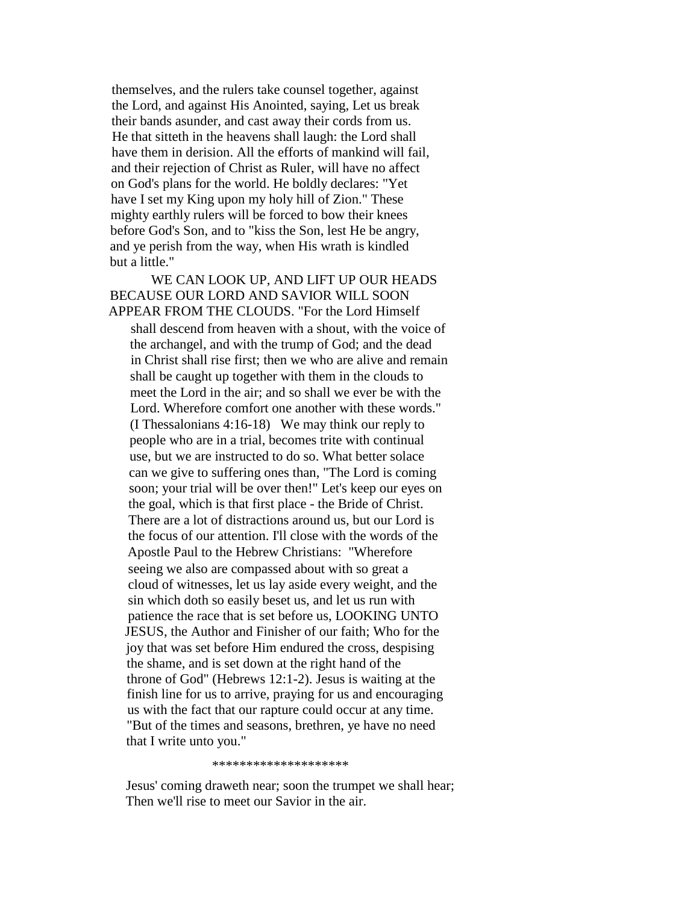themselves, and the rulers take counsel together, against the Lord, and against His Anointed, saying, Let us break their bands asunder, and cast away their cords from us. He that sitteth in the heavens shall laugh: the Lord shall have them in derision. All the efforts of mankind will fail. and their rejection of Christ as Ruler, will have no affect on God's plans for the world. He boldly declares: "Yet have I set my King upon my holy hill of Zion." These mighty earthly rulers will be forced to bow their knees before God's Son, and to "kiss the Son, lest He be angry, and ye perish from the way, when His wrath is kindled but a little."

WE CAN LOOK UP, AND LIFT UP OUR HEADS BECAUSE OUR LORD AND SAVIOR WILL SOON APPEAR FROM THE CLOUDS. "For the Lord Himself shall descend from heaven with a shout, with the voice of the archangel, and with the trump of God; and the dead in Christ shall rise first; then we who are alive and remain shall be caught up together with them in the clouds to meet the Lord in the air; and so shall we ever be with the Lord. Wherefore comfort one another with these words." (I Thessalonians 4:16-18) We may think our reply to people who are in a trial, becomes trite with continual use, but we are instructed to do so. What better solace can we give to suffering ones than, "The Lord is coming soon; your trial will be over then!" Let's keep our eyes on the goal, which is that first place - the Bride of Christ. There are a lot of distractions around us, but our Lord is the focus of our attention. I'll close with the words of the Apostle Paul to the Hebrew Christians: "Wherefore seeing we also are compassed about with so great a cloud of witnesses, let us lay aside every weight, and the sin which doth so easily beset us, and let us run with patience the race that is set before us, LOOKING UNTO JESUS, the Author and Finisher of our faith; Who for the joy that was set before Him endured the cross, despising the shame, and is set down at the right hand of the throne of God" (Hebrews 12:1-2). Jesus is waiting at the finish line for us to arrive, praying for us and encouraging us with the fact that our rapture could occur at any time. "But of the times and seasons, brethren, ye have no need that I write unto you."

\*\*\*\*\*\*\*\*\*\*\*\*\*\*\*\*\*\*\*\*

Jesus' coming draweth near; soon the trumpet we shall hear; Then we'll rise to meet our Savior in the air.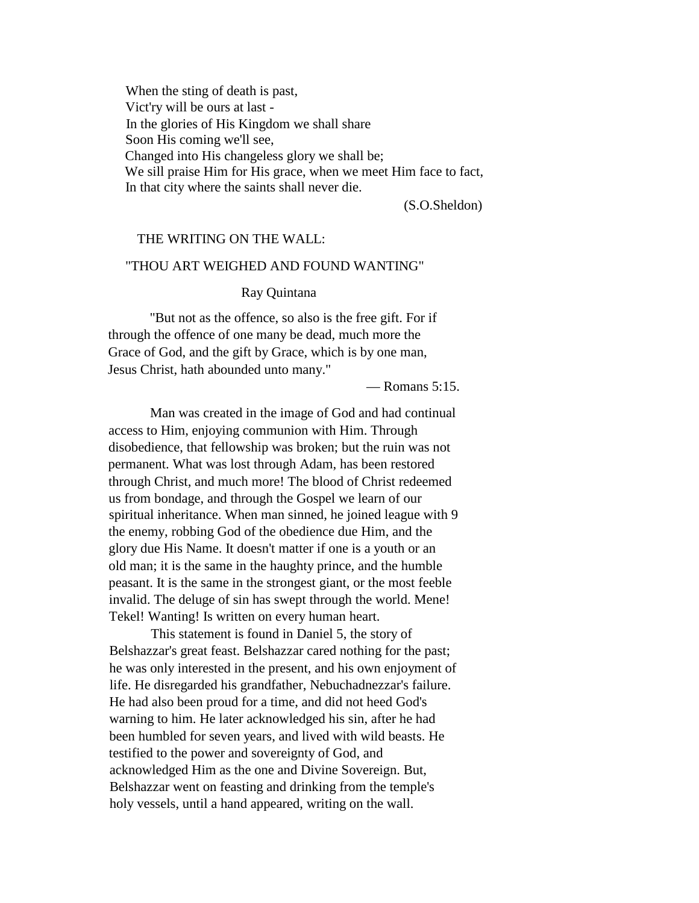When the sting of death is past, Vict'ry will be ours at last - In the glories of His Kingdom we shall share Soon His coming we'll see, Changed into His changeless glory we shall be; We sill praise Him for His grace, when we meet Him face to fact, In that city where the saints shall never die.

(S.O.Sheldon)

### THE WRITING ON THE WALL:

### "THOU ART WEIGHED AND FOUND WANTING"

#### Ray Quintana

"But not as the offence, so also is the free gift. For if through the offence of one many be dead, much more the Grace of God, and the gift by Grace, which is by one man, Jesus Christ, hath abounded unto many."

— Romans 5:15.

Man was created in the image of God and had continual access to Him, enjoying communion with Him. Through disobedience, that fellowship was broken; but the ruin was not permanent. What was lost through Adam, has been restored through Christ, and much more! The blood of Christ redeemed us from bondage, and through the Gospel we learn of our spiritual inheritance. When man sinned, he joined league with 9 the enemy, robbing God of the obedience due Him, and the glory due His Name. It doesn't matter if one is a youth or an old man; it is the same in the haughty prince, and the humble peasant. It is the same in the strongest giant, or the most feeble invalid. The deluge of sin has swept through the world. Mene! Tekel! Wanting! Is written on every human heart.

This statement is found in Daniel 5, the story of Belshazzar's great feast. Belshazzar cared nothing for the past; he was only interested in the present, and his own enjoyment of life. He disregarded his grandfather, Nebuchadnezzar's failure. He had also been proud for a time, and did not heed God's warning to him. He later acknowledged his sin, after he had been humbled for seven years, and lived with wild beasts. He testified to the power and sovereignty of God, and acknowledged Him as the one and Divine Sovereign. But, Belshazzar went on feasting and drinking from the temple's holy vessels, until a hand appeared, writing on the wall.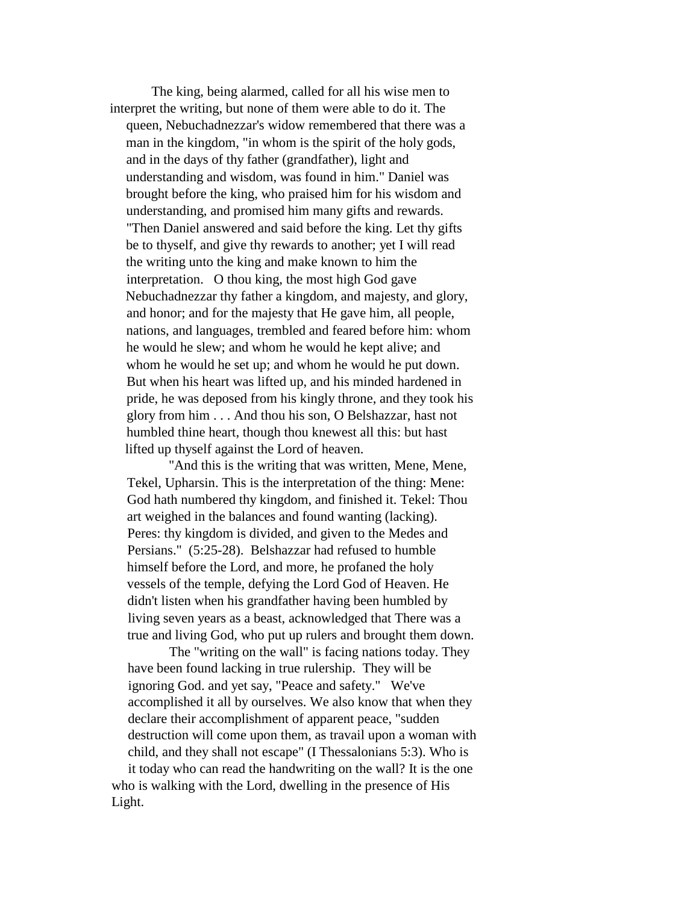The king, being alarmed, called for all his wise men to interpret the writing, but none of them were able to do it. The queen, Nebuchadnezzar's widow remembered that there was a man in the kingdom, "in whom is the spirit of the holy gods, and in the days of thy father (grandfather), light and understanding and wisdom, was found in him." Daniel was brought before the king, who praised him for his wisdom and understanding, and promised him many gifts and rewards. "Then Daniel answered and said before the king. Let thy gifts be to thyself, and give thy rewards to another; yet I will read the writing unto the king and make known to him the interpretation. O thou king, the most high God gave Nebuchadnezzar thy father a kingdom, and majesty, and glory, and honor; and for the majesty that He gave him, all people, nations, and languages, trembled and feared before him: whom he would he slew; and whom he would he kept alive; and whom he would he set up; and whom he would he put down. But when his heart was lifted up, and his minded hardened in pride, he was deposed from his kingly throne, and they took his glory from him . . . And thou his son, O Belshazzar, hast not humbled thine heart, though thou knewest all this: but hast lifted up thyself against the Lord of heaven.

"And this is the writing that was written, Mene, Mene, Tekel, Upharsin. This is the interpretation of the thing: Mene: God hath numbered thy kingdom, and finished it. Tekel: Thou art weighed in the balances and found wanting (lacking). Peres: thy kingdom is divided, and given to the Medes and Persians." (5:25-28). Belshazzar had refused to humble himself before the Lord, and more, he profaned the holy vessels of the temple, defying the Lord God of Heaven. He didn't listen when his grandfather having been humbled by living seven years as a beast, acknowledged that There was a true and living God, who put up rulers and brought them down.

The "writing on the wall" is facing nations today. They have been found lacking in true rulership. They will be ignoring God. and yet say, "Peace and safety." We've accomplished it all by ourselves. We also know that when they declare their accomplishment of apparent peace, "sudden destruction will come upon them, as travail upon a woman with child, and they shall not escape" (I Thessalonians 5:3). Who is it today who can read the handwriting on the wall? It is the one

who is walking with the Lord, dwelling in the presence of His Light.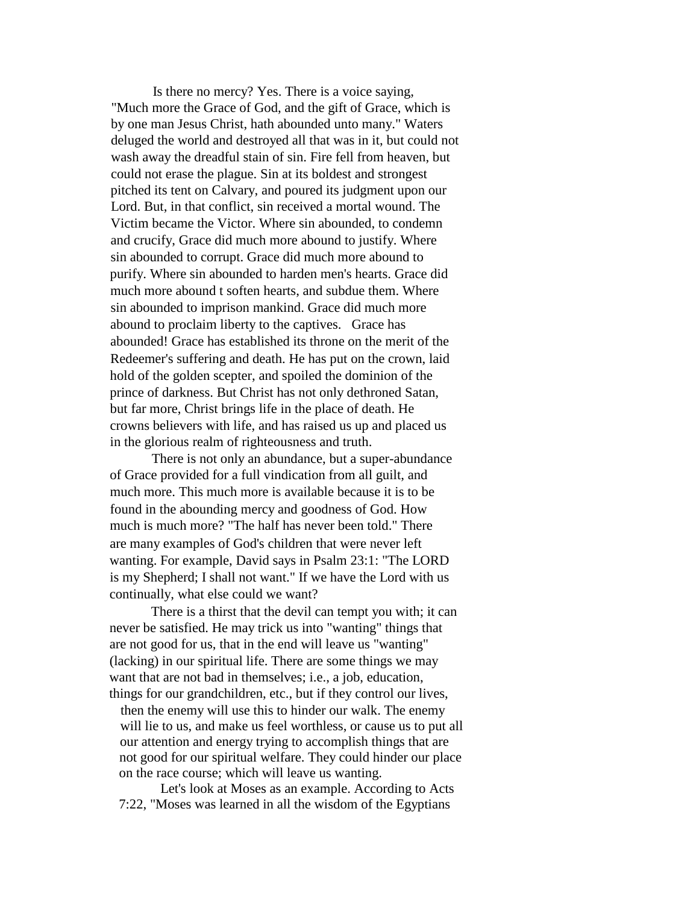Is there no mercy? Yes. There is a voice saying, "Much more the Grace of God, and the gift of Grace, which is by one man Jesus Christ, hath abounded unto many." Waters deluged the world and destroyed all that was in it, but could not wash away the dreadful stain of sin. Fire fell from heaven, but could not erase the plague. Sin at its boldest and strongest pitched its tent on Calvary, and poured its judgment upon our Lord. But, in that conflict, sin received a mortal wound. The Victim became the Victor. Where sin abounded, to condemn and crucify, Grace did much more abound to justify. Where sin abounded to corrupt. Grace did much more abound to purify. Where sin abounded to harden men's hearts. Grace did much more abound t soften hearts, and subdue them. Where sin abounded to imprison mankind. Grace did much more abound to proclaim liberty to the captives. Grace has abounded! Grace has established its throne on the merit of the Redeemer's suffering and death. He has put on the crown, laid hold of the golden scepter, and spoiled the dominion of the prince of darkness. But Christ has not only dethroned Satan, but far more, Christ brings life in the place of death. He crowns believers with life, and has raised us up and placed us in the glorious realm of righteousness and truth.

There is not only an abundance, but a super-abundance of Grace provided for a full vindication from all guilt, and much more. This much more is available because it is to be found in the abounding mercy and goodness of God. How much is much more? "The half has never been told." There are many examples of God's children that were never left wanting. For example, David says in Psalm 23:1: "The LORD is my Shepherd; I shall not want." If we have the Lord with us continually, what else could we want?

There is a thirst that the devil can tempt you with; it can never be satisfied. He may trick us into "wanting" things that are not good for us, that in the end will leave us "wanting" (lacking) in our spiritual life. There are some things we may want that are not bad in themselves; i.e., a job, education, things for our grandchildren, etc., but if they control our lives,

then the enemy will use this to hinder our walk. The enemy will lie to us, and make us feel worthless, or cause us to put all our attention and energy trying to accomplish things that are not good for our spiritual welfare. They could hinder our place on the race course; which will leave us wanting.

Let's look at Moses as an example. According to Acts 7:22, "Moses was learned in all the wisdom of the Egyptians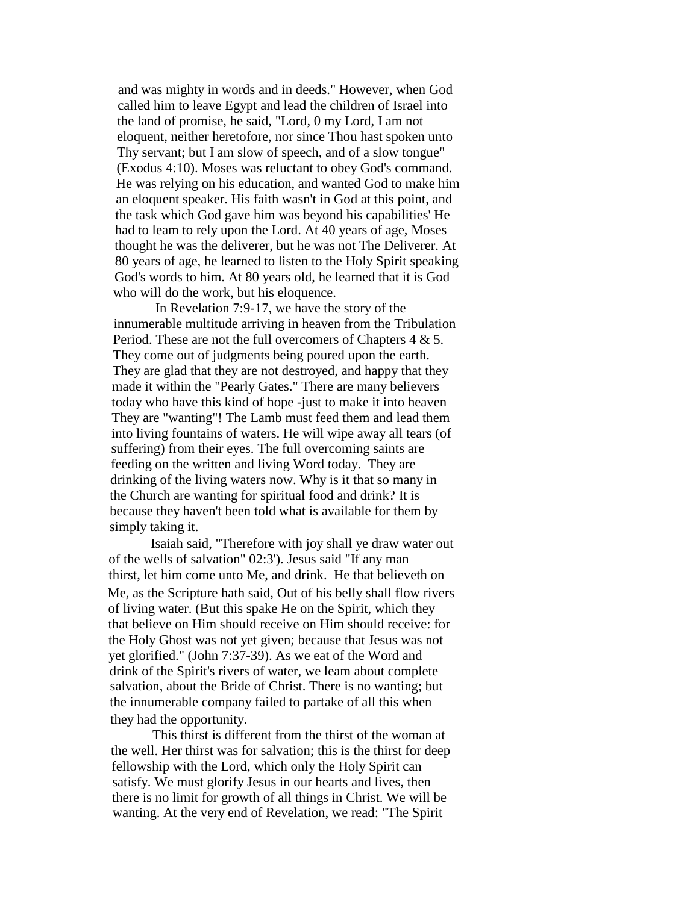and was mighty in words and in deeds." However, when God called him to leave Egypt and lead the children of Israel into the land of promise, he said, "Lord, 0 my Lord, I am not eloquent, neither heretofore, nor since Thou hast spoken unto Thy servant; but I am slow of speech, and of a slow tongue" (Exodus 4:10). Moses was reluctant to obey God's command. He was relying on his education, and wanted God to make him an eloquent speaker. His faith wasn't in God at this point, and the task which God gave him was beyond his capabilities' He had to leam to rely upon the Lord. At 40 years of age, Moses thought he was the deliverer, but he was not The Deliverer. At 80 years of age, he learned to listen to the Holy Spirit speaking God's words to him. At 80 years old, he learned that it is God who will do the work, but his eloquence.

In Revelation 7:9-17, we have the story of the innumerable multitude arriving in heaven from the Tribulation Period. These are not the full overcomers of Chapters 4 & 5. They come out of judgments being poured upon the earth. They are glad that they are not destroyed, and happy that they made it within the "Pearly Gates." There are many believers today who have this kind of hope -just to make it into heaven They are "wanting"! The Lamb must feed them and lead them into living fountains of waters. He will wipe away all tears (of suffering) from their eyes. The full overcoming saints are feeding on the written and living Word today. They are drinking of the living waters now. Why is it that so many in the Church are wanting for spiritual food and drink? It is because they haven't been told what is available for them by simply taking it.

Isaiah said, "Therefore with joy shall ye draw water out of the wells of salvation" 02:3'). Jesus said "If any man thirst, let him come unto Me, and drink. He that believeth on Me, as the Scripture hath said, Out of his belly shall flow rivers of living water. (But this spake He on the Spirit, which they that believe on Him should receive on Him should receive: for the Holy Ghost was not yet given; because that Jesus was not yet glorified." (John 7:37-39). As we eat of the Word and drink of the Spirit's rivers of water, we leam about complete salvation, about the Bride of Christ. There is no wanting; but the innumerable company failed to partake of all this when they had the opportunity.

This thirst is different from the thirst of the woman at the well. Her thirst was for salvation; this is the thirst for deep fellowship with the Lord, which only the Holy Spirit can satisfy. We must glorify Jesus in our hearts and lives, then there is no limit for growth of all things in Christ. We will be wanting. At the very end of Revelation, we read: "The Spirit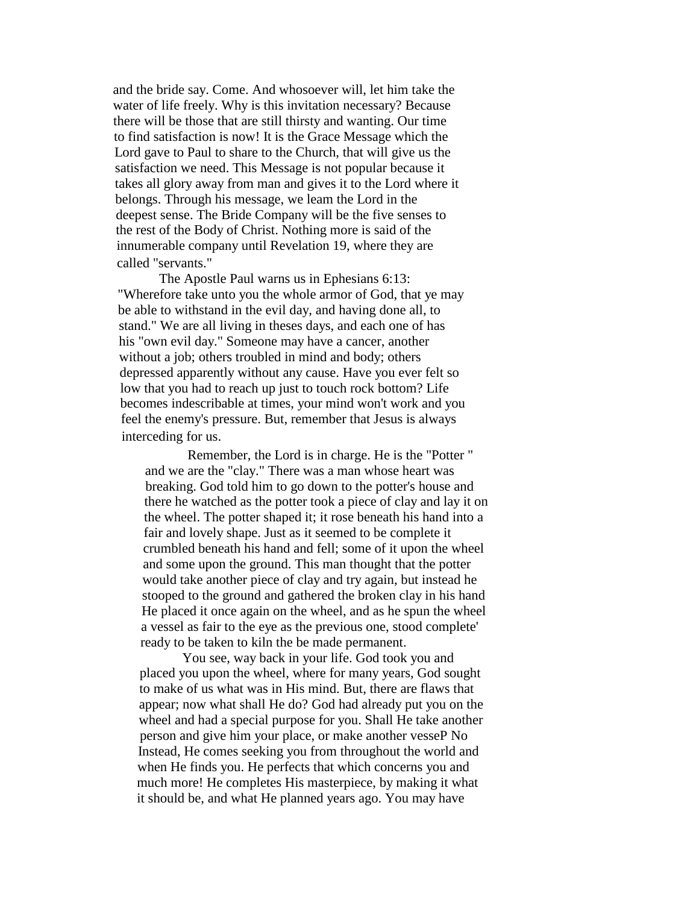and the bride say. Come. And whosoever will, let him take the water of life freely. Why is this invitation necessary? Because there will be those that are still thirsty and wanting. Our time to find satisfaction is now! It is the Grace Message which the Lord gave to Paul to share to the Church, that will give us the satisfaction we need. This Message is not popular because it takes all glory away from man and gives it to the Lord where it belongs. Through his message, we leam the Lord in the deepest sense. The Bride Company will be the five senses to the rest of the Body of Christ. Nothing more is said of the innumerable company until Revelation 19, where they are called "servants."

The Apostle Paul warns us in Ephesians 6:13: "Wherefore take unto you the whole armor of God, that ye may be able to withstand in the evil day, and having done all, to stand." We are all living in theses days, and each one of has his "own evil day." Someone may have a cancer, another without a job; others troubled in mind and body; others depressed apparently without any cause. Have you ever felt so low that you had to reach up just to touch rock bottom? Life becomes indescribable at times, your mind won't work and you feel the enemy's pressure. But, remember that Jesus is always interceding for us.

Remember, the Lord is in charge. He is the "Potter " and we are the "clay." There was a man whose heart was breaking. God told him to go down to the potter's house and there he watched as the potter took a piece of clay and lay it on the wheel. The potter shaped it; it rose beneath his hand into a fair and lovely shape. Just as it seemed to be complete it crumbled beneath his hand and fell; some of it upon the wheel and some upon the ground. This man thought that the potter would take another piece of clay and try again, but instead he stooped to the ground and gathered the broken clay in his hand He placed it once again on the wheel, and as he spun the wheel a vessel as fair to the eye as the previous one, stood complete' ready to be taken to kiln the be made permanent.

You see, way back in your life. God took you and placed you upon the wheel, where for many years, God sought to make of us what was in His mind. But, there are flaws that appear; now what shall He do? God had already put you on the wheel and had a special purpose for you. Shall He take another person and give him your place, or make another vesseP No Instead, He comes seeking you from throughout the world and when He finds you. He perfects that which concerns you and much more! He completes His masterpiece, by making it what it should be, and what He planned years ago. You may have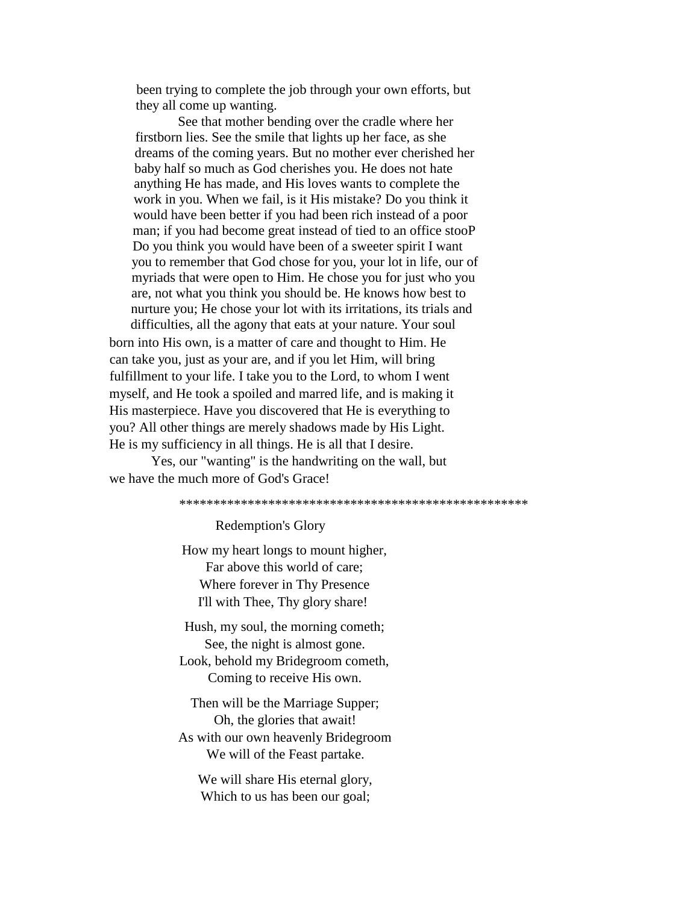been trying to complete the job through your own efforts, but they all come up wanting.

See that mother bending over the cradle where her firstborn lies. See the smile that lights up her face, as she dreams of the coming years. But no mother ever cherished her baby half so much as God cherishes you. He does not hate anything He has made, and His loves wants to complete the work in you. When we fail, is it His mistake? Do you think it would have been better if you had been rich instead of a poor man; if you had become great instead of tied to an office stooP Do you think you would have been of a sweeter spirit I want you to remember that God chose for you, your lot in life, our of myriads that were open to Him. He chose you for just who you are, not what you think you should be. He knows how best to nurture you; He chose your lot with its irritations, its trials and difficulties, all the agony that eats at your nature. Your soul

born into His own, is a matter of care and thought to Him. He can take you, just as your are, and if you let Him, will bring fulfillment to your life. I take you to the Lord, to whom I went myself, and He took a spoiled and marred life, and is making it His masterpiece. Have you discovered that He is everything to you? All other things are merely shadows made by His Light. He is my sufficiency in all things. He is all that I desire.

Yes, our "wanting" is the handwriting on the wall, but we have the much more of God's Grace!

\*\*\*\*\*\*\*\*\*\*\*\*\*\*\*\*\*\*\*\*\*\*\*\*\*\*\*\*\*\*\*\*\*\*\*\*\*\*\*\*\*\*\*\*\*\*\*\*\*\*\*

Redemption's Glory

How my heart longs to mount higher, Far above this world of care; Where forever in Thy Presence I'll with Thee, Thy glory share!

Hush, my soul, the morning cometh; See, the night is almost gone. Look, behold my Bridegroom cometh,

Coming to receive His own.

Then will be the Marriage Supper; Oh, the glories that await! As with our own heavenly Bridegroom We will of the Feast partake.

We will share His eternal glory, Which to us has been our goal;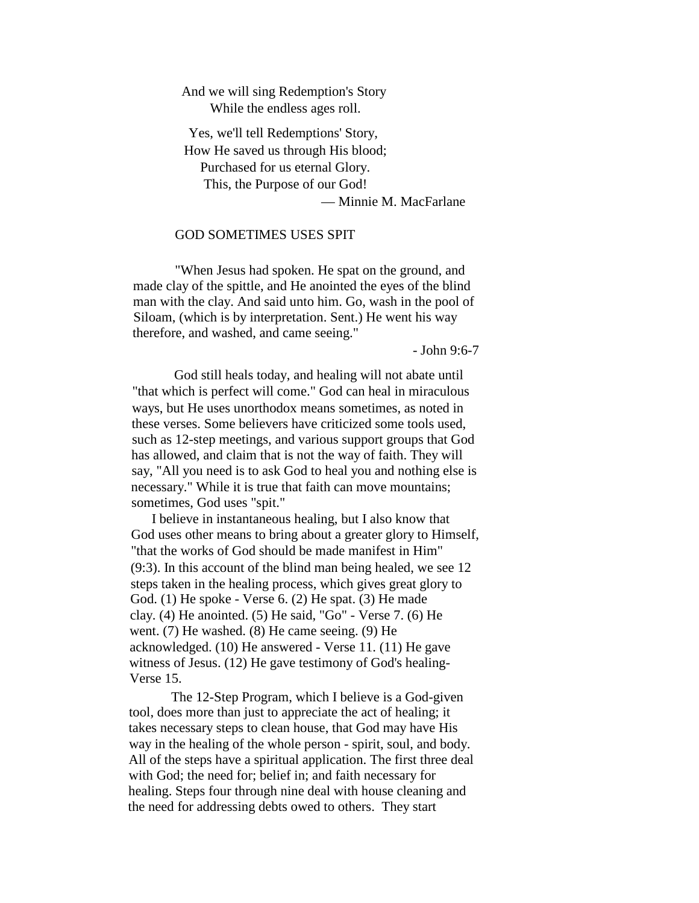### And we will sing Redemption's Story While the endless ages roll.

Yes, we'll tell Redemptions' Story, How He saved us through His blood; Purchased for us eternal Glory. This, the Purpose of our God! — Minnie M. MacFarlane

### GOD SOMETIMES USES SPIT

"When Jesus had spoken. He spat on the ground, and made clay of the spittle, and He anointed the eyes of the blind man with the clay. And said unto him. Go, wash in the pool of Siloam, (which is by interpretation. Sent.) He went his way therefore, and washed, and came seeing."

- John 9:6-7

God still heals today, and healing will not abate until "that which is perfect will come." God can heal in miraculous ways, but He uses unorthodox means sometimes, as noted in these verses. Some believers have criticized some tools used, such as 12-step meetings, and various support groups that God has allowed, and claim that is not the way of faith. They will say, "All you need is to ask God to heal you and nothing else is necessary." While it is true that faith can move mountains; sometimes, God uses "spit."

I believe in instantaneous healing, but I also know that God uses other means to bring about a greater glory to Himself, "that the works of God should be made manifest in Him" (9:3). In this account of the blind man being healed, we see 12 steps taken in the healing process, which gives great glory to God. (1) He spoke - Verse 6. (2) He spat. (3) He made clay. (4) He anointed. (5) He said, "Go" - Verse 7. (6) He went. (7) He washed. (8) He came seeing. (9) He acknowledged. (10) He answered - Verse 11. (11) He gave witness of Jesus. (12) He gave testimony of God's healing-Verse 15.

The 12-Step Program, which I believe is a God-given tool, does more than just to appreciate the act of healing; it takes necessary steps to clean house, that God may have His way in the healing of the whole person - spirit, soul, and body. All of the steps have a spiritual application. The first three deal with God; the need for; belief in; and faith necessary for healing. Steps four through nine deal with house cleaning and the need for addressing debts owed to others. They start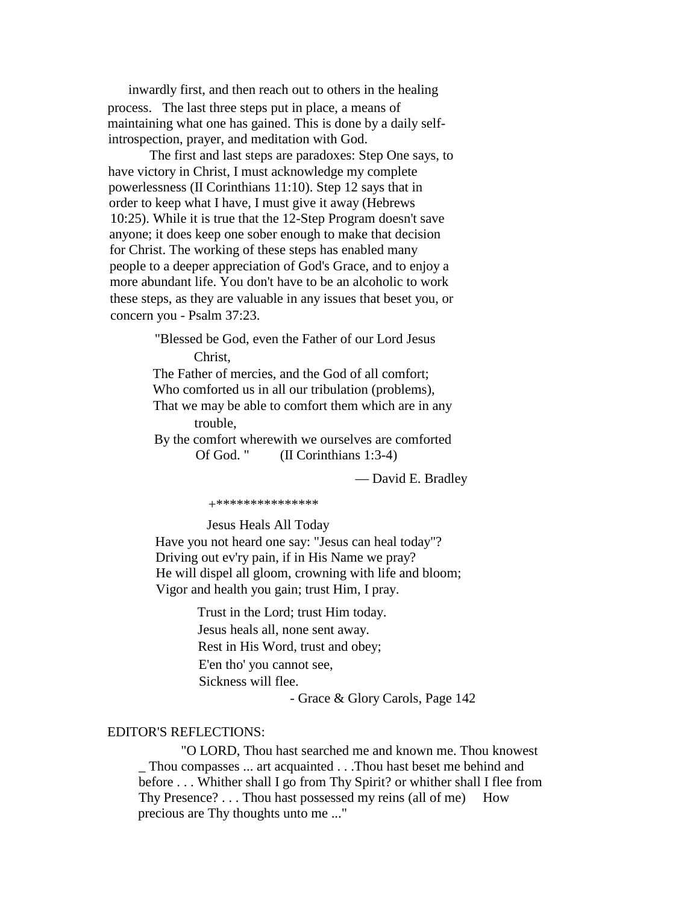inwardly first, and then reach out to others in the healing process. The last three steps put in place, a means of maintaining what one has gained. This is done by a daily selfintrospection, prayer, and meditation with God.

The first and last steps are paradoxes: Step One says, to have victory in Christ, I must acknowledge my complete powerlessness (II Corinthians 11:10). Step 12 says that in order to keep what I have, I must give it away (Hebrews 10:25). While it is true that the 12-Step Program doesn't save anyone; it does keep one sober enough to make that decision for Christ. The working of these steps has enabled many people to a deeper appreciation of God's Grace, and to enjoy a more abundant life. You don't have to be an alcoholic to work these steps, as they are valuable in any issues that beset you, or concern you - Psalm 37:23.

> "Blessed be God, even the Father of our Lord Jesus Christ,

The Father of mercies, and the God of all comfort; Who comforted us in all our tribulation (problems), That we may be able to comfort them which are in any trouble, By the comfort wherewith we ourselves are comforted

Of God. " (II Corinthians 1:3-4)

— David E. Bradley

+\*\*\*\*\*\*\*\*\*\*\*\*\*\*\*

Jesus Heals All Today

Have you not heard one say: "Jesus can heal today"? Driving out ev'ry pain, if in His Name we pray? He will dispel all gloom, crowning with life and bloom; Vigor and health you gain; trust Him, I pray.

> Trust in the Lord; trust Him today. Jesus heals all, none sent away. Rest in His Word, trust and obey; E'en tho' you cannot see, Sickness will flee.

> > - Grace & Glory Carols, Page 142

### EDITOR'S REFLECTIONS:

"O LORD, Thou hast searched me and known me. Thou knowest \_ Thou compasses ... art acquainted . . .Thou hast beset me behind and before . . . Whither shall I go from Thy Spirit? or whither shall I flee from Thy Presence? . . . Thou hast possessed my reins (all of me) How precious are Thy thoughts unto me ..."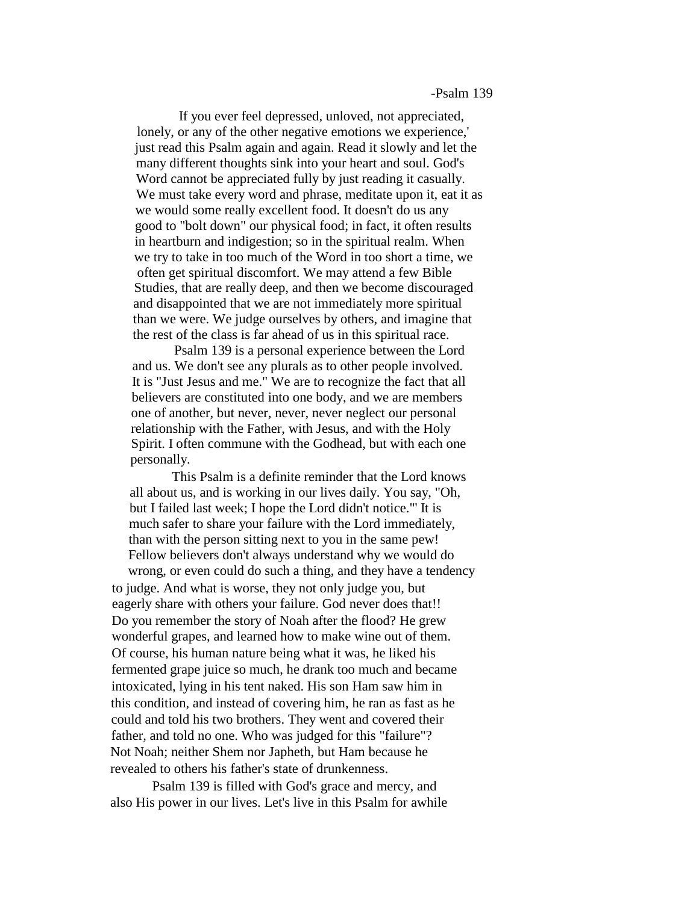### -Psalm 139

If you ever feel depressed, unloved, not appreciated, lonely, or any of the other negative emotions we experience, just read this Psalm again and again. Read it slowly and let the many different thoughts sink into your heart and soul. God's Word cannot be appreciated fully by just reading it casually. We must take every word and phrase, meditate upon it, eat it as we would some really excellent food. It doesn't do us any good to "bolt down" our physical food; in fact, it often results in heartburn and indigestion; so in the spiritual realm. When we try to take in too much of the Word in too short a time, we often get spiritual discomfort. We may attend a few Bible Studies, that are really deep, and then we become discouraged and disappointed that we are not immediately more spiritual than we were. We judge ourselves by others, and imagine that the rest of the class is far ahead of us in this spiritual race.

Psalm 139 is a personal experience between the Lord and us. We don't see any plurals as to other people involved. It is "Just Jesus and me." We are to recognize the fact that all believers are constituted into one body, and we are members one of another, but never, never, never neglect our personal relationship with the Father, with Jesus, and with the Holy Spirit. I often commune with the Godhead, but with each one personally.

This Psalm is a definite reminder that the Lord knows all about us, and is working in our lives daily. You say, "Oh, but I failed last week; I hope the Lord didn't notice."' It is much safer to share your failure with the Lord immediately, than with the person sitting next to you in the same pew! Fellow believers don't always understand why we would do wrong, or even could do such a thing, and they have a tendency to judge. And what is worse, they not only judge you, but eagerly share with others your failure. God never does that!! Do you remember the story of Noah after the flood? He grew wonderful grapes, and learned how to make wine out of them. Of course, his human nature being what it was, he liked his fermented grape juice so much, he drank too much and became intoxicated, lying in his tent naked. His son Ham saw him in this condition, and instead of covering him, he ran as fast as he could and told his two brothers. They went and covered their father, and told no one. Who was judged for this "failure"? Not Noah; neither Shem nor Japheth, but Ham because he revealed to others his father's state of drunkenness.

Psalm 139 is filled with God's grace and mercy, and also His power in our lives. Let's live in this Psalm for awhile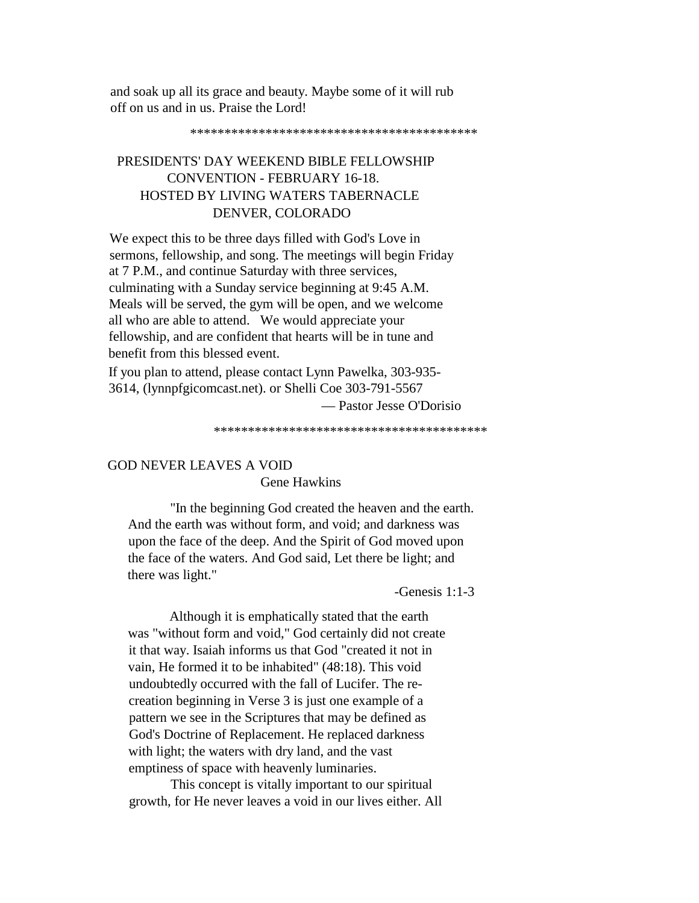and soak up all its grace and beauty. Maybe some of it will rub off on us and in us. Praise the Lord!

## PRESIDENTS' DAY WEEKEND BIBLE FELLOWSHIP CONVENTION - FEBRUARY 16-18. HOSTED BY LIVING WATERS TABERNACLE DENVER, COLORADO

We expect this to be three days filled with God's Love in sermons, fellowship, and song. The meetings will begin Friday at 7 P.M., and continue Saturday with three services, culminating with a Sunday service beginning at 9:45 A.M. Meals will be served, the gym will be open, and we welcome all who are able to attend. We would appreciate your fellowship, and are confident that hearts will be in tune and benefit from this blessed event.

If you plan to attend, please contact Lynn Pawelka, 303-935- 3614, (lynnpfgicomcast.net). or Shelli Coe 303-791-5567

— Pastor Jesse O'Dorisio

\*\*\*\*\*\*\*\*\*\*\*\*\*\*\*\*\*\*\*\*\*\*\*\*\*\*\*\*\*\*\*\*\*\*\*\*\*\*\*\*

# GOD NEVER LEAVES A VOID

Gene Hawkins

"In the beginning God created the heaven and the earth. And the earth was without form, and void; and darkness was upon the face of the deep. And the Spirit of God moved upon the face of the waters. And God said, Let there be light; and there was light."

-Genesis 1:1-3

Although it is emphatically stated that the earth was "without form and void," God certainly did not create it that way. Isaiah informs us that God "created it not in vain, He formed it to be inhabited" (48:18). This void undoubtedly occurred with the fall of Lucifer. The recreation beginning in Verse 3 is just one example of a pattern we see in the Scriptures that may be defined as God's Doctrine of Replacement. He replaced darkness with light; the waters with dry land, and the vast emptiness of space with heavenly luminaries.

This concept is vitally important to our spiritual growth, for He never leaves a void in our lives either. All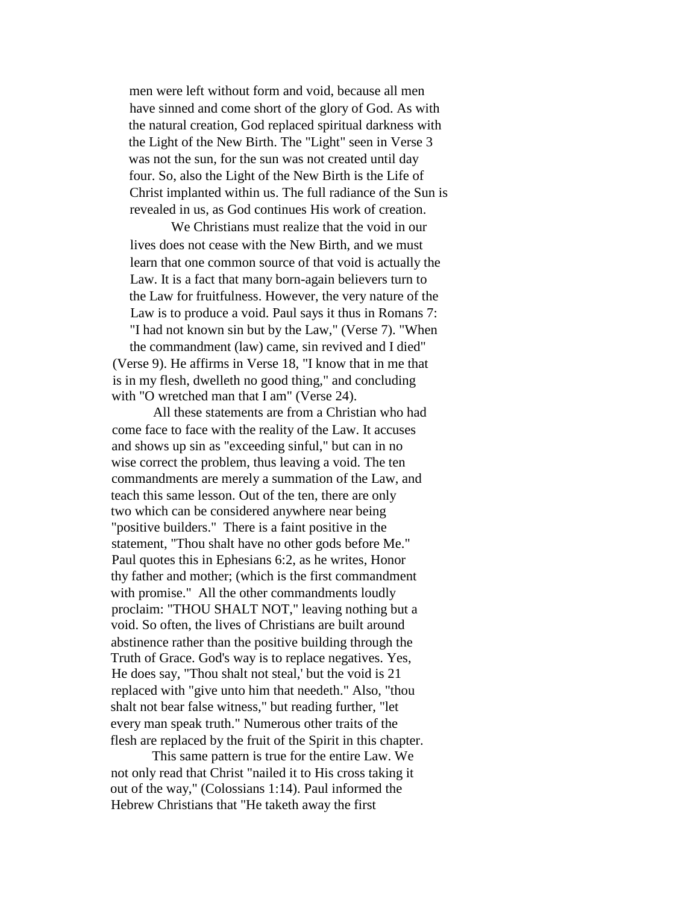men were left without form and void, because all men have sinned and come short of the glory of God. As with the natural creation, God replaced spiritual darkness with the Light of the New Birth. The "Light" seen in Verse 3 was not the sun, for the sun was not created until day four. So, also the Light of the New Birth is the Life of Christ implanted within us. The full radiance of the Sun is revealed in us, as God continues His work of creation.

We Christians must realize that the void in our lives does not cease with the New Birth, and we must learn that one common source of that void is actually the Law. It is a fact that many born-again believers turn to the Law for fruitfulness. However, the very nature of the Law is to produce a void. Paul says it thus in Romans 7: "I had not known sin but by the Law," (Verse 7). "When the commandment (law) came, sin revived and I died" (Verse 9). He affirms in Verse 18, "I know that in me that is in my flesh, dwelleth no good thing," and concluding with "O wretched man that I am" (Verse 24).

All these statements are from a Christian who had come face to face with the reality of the Law. It accuses and shows up sin as "exceeding sinful," but can in no wise correct the problem, thus leaving a void. The ten commandments are merely a summation of the Law, and teach this same lesson. Out of the ten, there are only two which can be considered anywhere near being "positive builders." There is a faint positive in the statement, "Thou shalt have no other gods before Me." Paul quotes this in Ephesians 6:2, as he writes, Honor thy father and mother; (which is the first commandment with promise." All the other commandments loudly proclaim: "THOU SHALT NOT," leaving nothing but a void. So often, the lives of Christians are built around abstinence rather than the positive building through the Truth of Grace. God's way is to replace negatives. Yes, He does say, "Thou shalt not steal,' but the void is 21 replaced with "give unto him that needeth." Also, "thou shalt not bear false witness," but reading further, "let every man speak truth." Numerous other traits of the flesh are replaced by the fruit of the Spirit in this chapter.

This same pattern is true for the entire Law. We not only read that Christ "nailed it to His cross taking it out of the way," (Colossians 1:14). Paul informed the Hebrew Christians that "He taketh away the first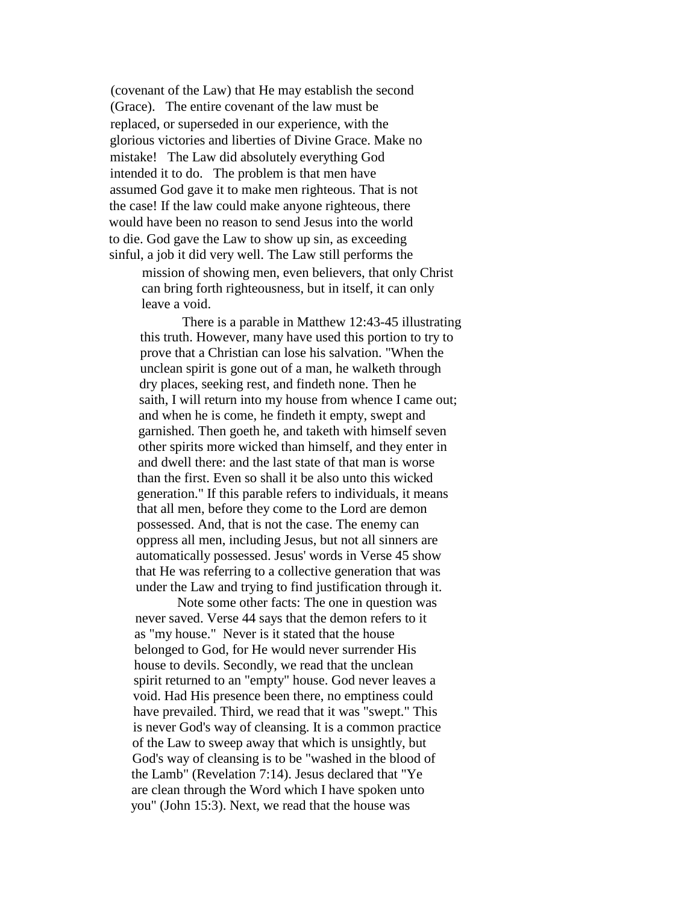(covenant of the Law) that He may establish the second (Grace). The entire covenant of the law must be replaced, or superseded in our experience, with the glorious victories and liberties of Divine Grace. Make no mistake! The Law did absolutely everything God intended it to do. The problem is that men have assumed God gave it to make men righteous. That is not the case! If the law could make anyone righteous, there would have been no reason to send Jesus into the world to die. God gave the Law to show up sin, as exceeding sinful, a job it did very well. The Law still performs the

mission of showing men, even believers, that only Christ can bring forth righteousness, but in itself, it can only leave a void.

There is a parable in Matthew 12:43-45 illustrating this truth. However, many have used this portion to try to prove that a Christian can lose his salvation. "When the unclean spirit is gone out of a man, he walketh through dry places, seeking rest, and findeth none. Then he saith, I will return into my house from whence I came out; and when he is come, he findeth it empty, swept and garnished. Then goeth he, and taketh with himself seven other spirits more wicked than himself, and they enter in and dwell there: and the last state of that man is worse than the first. Even so shall it be also unto this wicked generation." If this parable refers to individuals, it means that all men, before they come to the Lord are demon possessed. And, that is not the case. The enemy can oppress all men, including Jesus, but not all sinners are automatically possessed. Jesus' words in Verse 45 show that He was referring to a collective generation that was under the Law and trying to find justification through it.

Note some other facts: The one in question was never saved. Verse 44 says that the demon refers to it as "my house." Never is it stated that the house belonged to God, for He would never surrender His house to devils. Secondly, we read that the unclean spirit returned to an "empty" house. God never leaves a void. Had His presence been there, no emptiness could have prevailed. Third, we read that it was "swept." This is never God's way of cleansing. It is a common practice of the Law to sweep away that which is unsightly, but God's way of cleansing is to be "washed in the blood of the Lamb" (Revelation 7:14). Jesus declared that "Ye are clean through the Word which I have spoken unto you" (John 15:3). Next, we read that the house was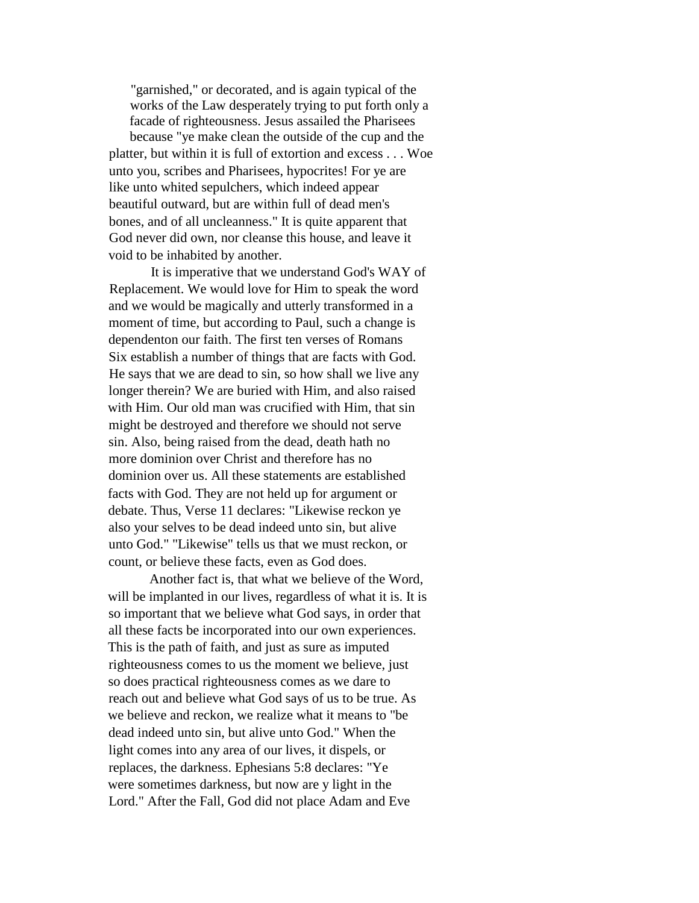"garnished," or decorated, and is again typical of the works of the Law desperately trying to put forth only a facade of righteousness. Jesus assailed the Pharisees because "ye make clean the outside of the cup and the platter, but within it is full of extortion and excess . . . Woe unto you, scribes and Pharisees, hypocrites! For ye are like unto whited sepulchers, which indeed appear beautiful outward, but are within full of dead men's bones, and of all uncleanness." It is quite apparent that God never did own, nor cleanse this house, and leave it void to be inhabited by another.

It is imperative that we understand God's WAY of Replacement. We would love for Him to speak the word and we would be magically and utterly transformed in a moment of time, but according to Paul, such a change is dependenton our faith. The first ten verses of Romans Six establish a number of things that are facts with God. He says that we are dead to sin, so how shall we live any longer therein? We are buried with Him, and also raised with Him. Our old man was crucified with Him, that sin might be destroyed and therefore we should not serve sin. Also, being raised from the dead, death hath no more dominion over Christ and therefore has no dominion over us. All these statements are established facts with God. They are not held up for argument or debate. Thus, Verse 11 declares: "Likewise reckon ye also your selves to be dead indeed unto sin, but alive unto God." "Likewise" tells us that we must reckon, or count, or believe these facts, even as God does.

Another fact is, that what we believe of the Word, will be implanted in our lives, regardless of what it is. It is so important that we believe what God says, in order that all these facts be incorporated into our own experiences. This is the path of faith, and just as sure as imputed righteousness comes to us the moment we believe, just so does practical righteousness comes as we dare to reach out and believe what God says of us to be true. As we believe and reckon, we realize what it means to "be dead indeed unto sin, but alive unto God." When the light comes into any area of our lives, it dispels, or replaces, the darkness. Ephesians 5:8 declares: "Ye were sometimes darkness, but now are y light in the Lord." After the Fall, God did not place Adam and Eve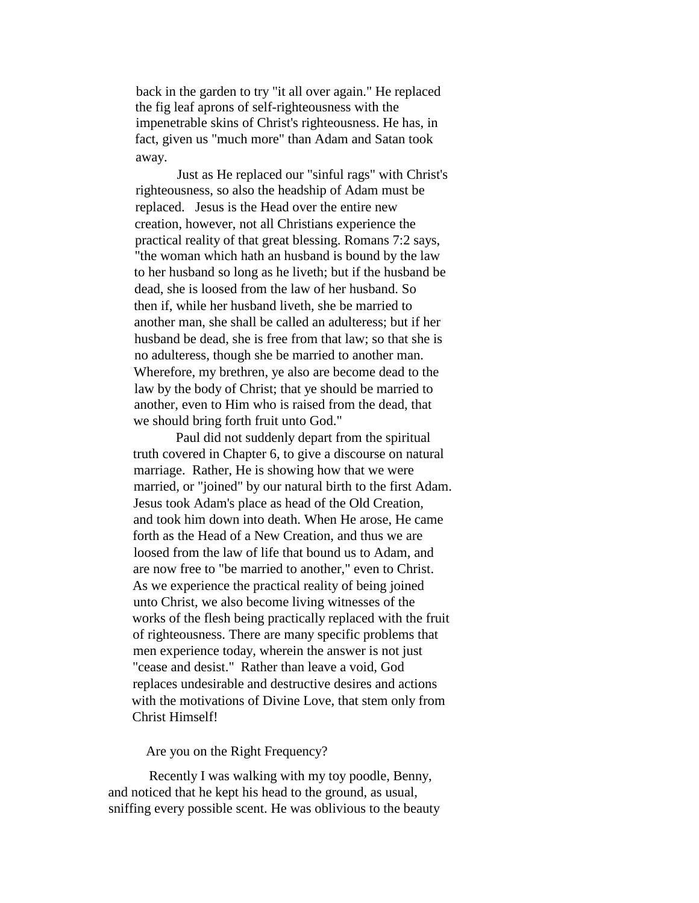back in the garden to try "it all over again." He replaced the fig leaf aprons of self-righteousness with the impenetrable skins of Christ's righteousness. He has, in fact, given us "much more" than Adam and Satan took away.

Just as He replaced our "sinful rags" with Christ's righteousness, so also the headship of Adam must be replaced. Jesus is the Head over the entire new creation, however, not all Christians experience the practical reality of that great blessing. Romans 7:2 says, "the woman which hath an husband is bound by the law to her husband so long as he liveth; but if the husband be dead, she is loosed from the law of her husband. So then if, while her husband liveth, she be married to another man, she shall be called an adulteress; but if her husband be dead, she is free from that law; so that she is no adulteress, though she be married to another man. Wherefore, my brethren, ye also are become dead to the law by the body of Christ; that ye should be married to another, even to Him who is raised from the dead, that we should bring forth fruit unto God."

Paul did not suddenly depart from the spiritual truth covered in Chapter 6, to give a discourse on natural marriage. Rather, He is showing how that we were married, or "joined" by our natural birth to the first Adam. Jesus took Adam's place as head of the Old Creation, and took him down into death. When He arose, He came forth as the Head of a New Creation, and thus we are loosed from the law of life that bound us to Adam, and are now free to "be married to another," even to Christ. As we experience the practical reality of being joined unto Christ, we also become living witnesses of the works of the flesh being practically replaced with the fruit of righteousness. There are many specific problems that men experience today, wherein the answer is not just "cease and desist." Rather than leave a void, God replaces undesirable and destructive desires and actions with the motivations of Divine Love, that stem only from Christ Himself!

Are you on the Right Frequency?

Recently I was walking with my toy poodle, Benny, and noticed that he kept his head to the ground, as usual, sniffing every possible scent. He was oblivious to the beauty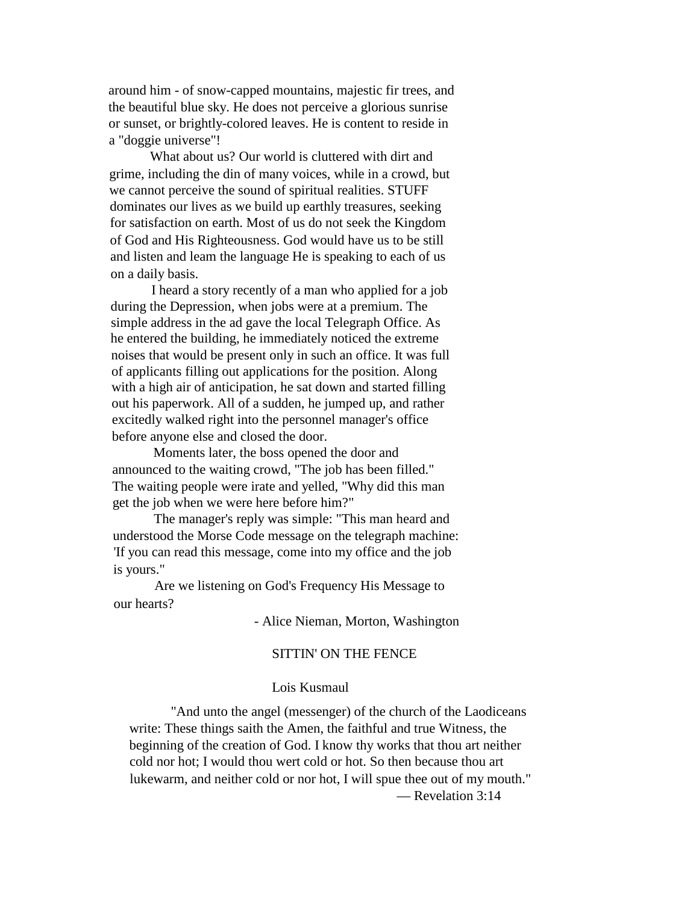around him - of snow-capped mountains, majestic fir trees, and the beautiful blue sky. He does not perceive a glorious sunrise or sunset, or brightly-colored leaves. He is content to reside in a "doggie universe"!

What about us? Our world is cluttered with dirt and grime, including the din of many voices, while in a crowd, but we cannot perceive the sound of spiritual realities. STUFF dominates our lives as we build up earthly treasures, seeking for satisfaction on earth. Most of us do not seek the Kingdom of God and His Righteousness. God would have us to be still and listen and leam the language He is speaking to each of us on a daily basis.

I heard a story recently of a man who applied for a job during the Depression, when jobs were at a premium. The simple address in the ad gave the local Telegraph Office. As he entered the building, he immediately noticed the extreme noises that would be present only in such an office. It was full of applicants filling out applications for the position. Along with a high air of anticipation, he sat down and started filling out his paperwork. All of a sudden, he jumped up, and rather excitedly walked right into the personnel manager's office before anyone else and closed the door.

Moments later, the boss opened the door and announced to the waiting crowd, "The job has been filled." The waiting people were irate and yelled, "Why did this man get the job when we were here before him?"

The manager's reply was simple: "This man heard and understood the Morse Code message on the telegraph machine: 'If you can read this message, come into my office and the job is yours."

Are we listening on God's Frequency His Message to our hearts?

- Alice Nieman, Morton, Washington

### SITTIN' ON THE FENCE

### Lois Kusmaul

"And unto the angel (messenger) of the church of the Laodiceans write: These things saith the Amen, the faithful and true Witness, the beginning of the creation of God. I know thy works that thou art neither cold nor hot; I would thou wert cold or hot. So then because thou art lukewarm, and neither cold or nor hot, I will spue thee out of my mouth." — Revelation 3:14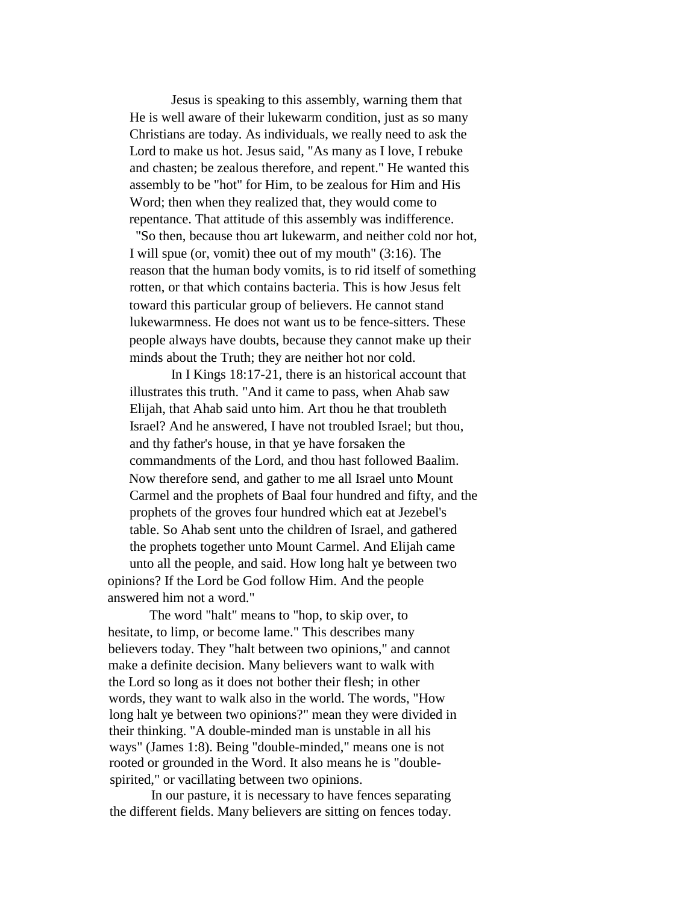Jesus is speaking to this assembly, warning them that He is well aware of their lukewarm condition, just as so many Christians are today. As individuals, we really need to ask the Lord to make us hot. Jesus said, "As many as I love, I rebuke and chasten; be zealous therefore, and repent." He wanted this assembly to be "hot" for Him, to be zealous for Him and His Word; then when they realized that, they would come to repentance. That attitude of this assembly was indifference.

"So then, because thou art lukewarm, and neither cold nor hot, I will spue (or, vomit) thee out of my mouth" (3:16). The reason that the human body vomits, is to rid itself of something rotten, or that which contains bacteria. This is how Jesus felt toward this particular group of believers. He cannot stand lukewarmness. He does not want us to be fence-sitters. These people always have doubts, because they cannot make up their minds about the Truth; they are neither hot nor cold.

In I Kings 18:17-21, there is an historical account that illustrates this truth. "And it came to pass, when Ahab saw Elijah, that Ahab said unto him. Art thou he that troubleth Israel? And he answered, I have not troubled Israel; but thou, and thy father's house, in that ye have forsaken the commandments of the Lord, and thou hast followed Baalim. Now therefore send, and gather to me all Israel unto Mount Carmel and the prophets of Baal four hundred and fifty, and the prophets of the groves four hundred which eat at Jezebel's table. So Ahab sent unto the children of Israel, and gathered the prophets together unto Mount Carmel. And Elijah came unto all the people, and said. How long halt ye between two opinions? If the Lord be God follow Him. And the people

The word "halt" means to "hop, to skip over, to hesitate, to limp, or become lame." This describes many believers today. They "halt between two opinions," and cannot make a definite decision. Many believers want to walk with the Lord so long as it does not bother their flesh; in other words, they want to walk also in the world. The words, "How long halt ye between two opinions?" mean they were divided in their thinking. "A double-minded man is unstable in all his ways" (James 1:8). Being "double-minded," means one is not rooted or grounded in the Word. It also means he is "doublespirited," or vacillating between two opinions.

answered him not a word."

In our pasture, it is necessary to have fences separating the different fields. Many believers are sitting on fences today.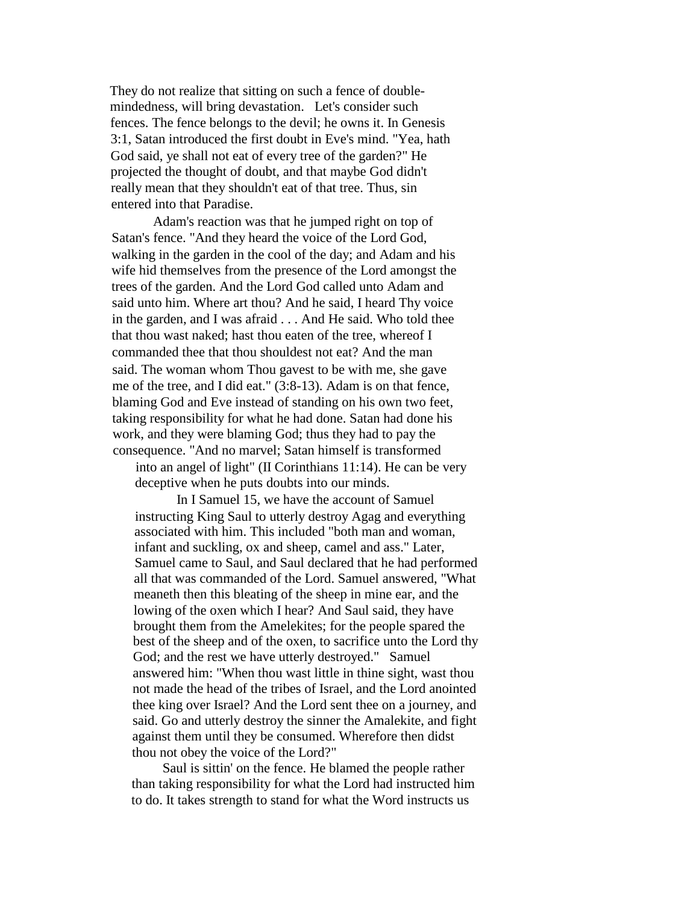They do not realize that sitting on such a fence of doublemindedness, will bring devastation. Let's consider such fences. The fence belongs to the devil; he owns it. In Genesis 3:1, Satan introduced the first doubt in Eve's mind. "Yea, hath God said, ye shall not eat of every tree of the garden?" He projected the thought of doubt, and that maybe God didn't really mean that they shouldn't eat of that tree. Thus, sin entered into that Paradise.

Adam's reaction was that he jumped right on top of Satan's fence. "And they heard the voice of the Lord God, walking in the garden in the cool of the day; and Adam and his wife hid themselves from the presence of the Lord amongst the trees of the garden. And the Lord God called unto Adam and said unto him. Where art thou? And he said, I heard Thy voice in the garden, and I was afraid . . . And He said. Who told thee that thou wast naked; hast thou eaten of the tree, whereof I commanded thee that thou shouldest not eat? And the man said. The woman whom Thou gavest to be with me, she gave me of the tree, and I did eat." (3:8-13). Adam is on that fence, blaming God and Eve instead of standing on his own two feet, taking responsibility for what he had done. Satan had done his work, and they were blaming God; thus they had to pay the consequence. "And no marvel; Satan himself is transformed into an angel of light" (II Corinthians 11:14). He can be very

deceptive when he puts doubts into our minds.

In I Samuel 15, we have the account of Samuel instructing King Saul to utterly destroy Agag and everything associated with him. This included "both man and woman, infant and suckling, ox and sheep, camel and ass." Later, Samuel came to Saul, and Saul declared that he had performed all that was commanded of the Lord. Samuel answered, "What meaneth then this bleating of the sheep in mine ear, and the lowing of the oxen which I hear? And Saul said, they have brought them from the Amelekites; for the people spared the best of the sheep and of the oxen, to sacrifice unto the Lord thy God; and the rest we have utterly destroyed." Samuel answered him: "When thou wast little in thine sight, wast thou not made the head of the tribes of Israel, and the Lord anointed thee king over Israel? And the Lord sent thee on a journey, and said. Go and utterly destroy the sinner the Amalekite, and fight against them until they be consumed. Wherefore then didst thou not obey the voice of the Lord?"

Saul is sittin' on the fence. He blamed the people rather than taking responsibility for what the Lord had instructed him to do. It takes strength to stand for what the Word instructs us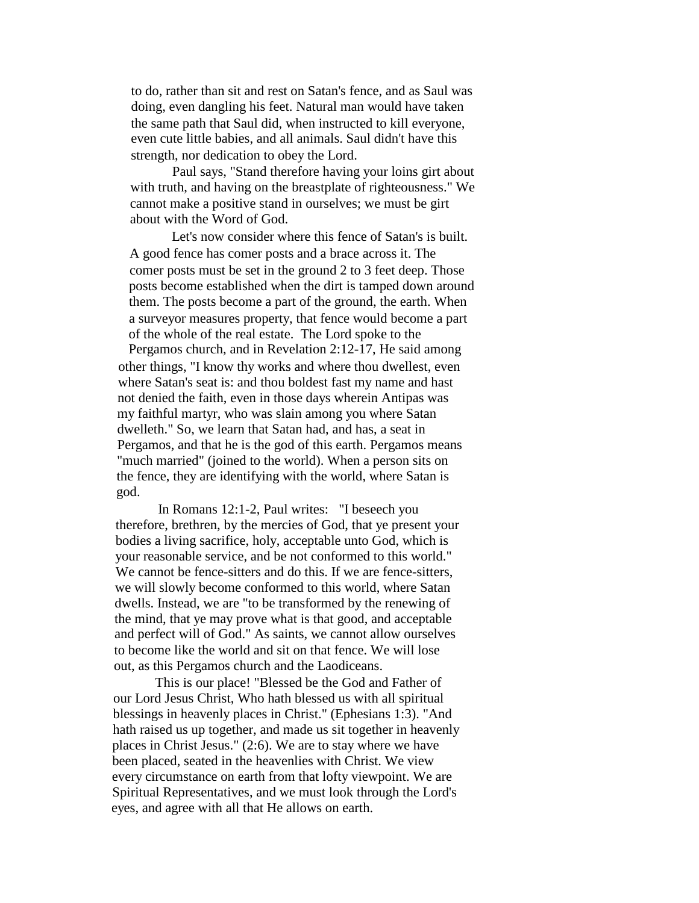to do, rather than sit and rest on Satan's fence, and as Saul was doing, even dangling his feet. Natural man would have taken the same path that Saul did, when instructed to kill everyone, even cute little babies, and all animals. Saul didn't have this strength, nor dedication to obey the Lord.

Paul says, "Stand therefore having your loins girt about with truth, and having on the breastplate of righteousness." We cannot make a positive stand in ourselves; we must be girt about with the Word of God.

Let's now consider where this fence of Satan's is built. A good fence has comer posts and a brace across it. The comer posts must be set in the ground 2 to 3 feet deep. Those posts become established when the dirt is tamped down around them. The posts become a part of the ground, the earth. When a surveyor measures property, that fence would become a part of the whole of the real estate. The Lord spoke to the

Pergamos church, and in Revelation 2:12-17, He said among other things, "I know thy works and where thou dwellest, even where Satan's seat is: and thou boldest fast my name and hast not denied the faith, even in those days wherein Antipas was my faithful martyr, who was slain among you where Satan dwelleth." So, we learn that Satan had, and has, a seat in Pergamos, and that he is the god of this earth. Pergamos means "much married" (joined to the world). When a person sits on the fence, they are identifying with the world, where Satan is god.

In Romans 12:1-2, Paul writes: "I beseech you therefore, brethren, by the mercies of God, that ye present your bodies a living sacrifice, holy, acceptable unto God, which is your reasonable service, and be not conformed to this world." We cannot be fence-sitters and do this. If we are fence-sitters, we will slowly become conformed to this world, where Satan dwells. Instead, we are "to be transformed by the renewing of the mind, that ye may prove what is that good, and acceptable and perfect will of God." As saints, we cannot allow ourselves to become like the world and sit on that fence. We will lose out, as this Pergamos church and the Laodiceans.

This is our place! "Blessed be the God and Father of our Lord Jesus Christ, Who hath blessed us with all spiritual blessings in heavenly places in Christ." (Ephesians 1:3). "And hath raised us up together, and made us sit together in heavenly places in Christ Jesus." (2:6). We are to stay where we have been placed, seated in the heavenlies with Christ. We view every circumstance on earth from that lofty viewpoint. We are Spiritual Representatives, and we must look through the Lord's eyes, and agree with all that He allows on earth.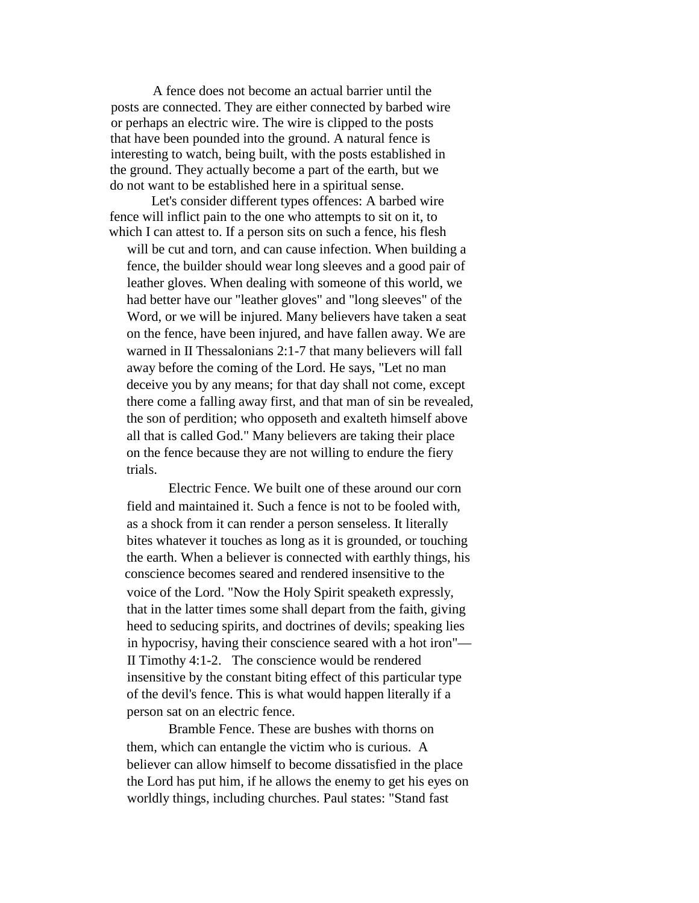A fence does not become an actual barrier until the posts are connected. They are either connected by barbed wire or perhaps an electric wire. The wire is clipped to the posts that have been pounded into the ground. A natural fence is interesting to watch, being built, with the posts established in the ground. They actually become a part of the earth, but we do not want to be established here in a spiritual sense.

Let's consider different types offences: A barbed wire fence will inflict pain to the one who attempts to sit on it, to which I can attest to. If a person sits on such a fence, his flesh

will be cut and torn, and can cause infection. When building a fence, the builder should wear long sleeves and a good pair of leather gloves. When dealing with someone of this world, we had better have our "leather gloves" and "long sleeves" of the Word, or we will be injured. Many believers have taken a seat on the fence, have been injured, and have fallen away. We are warned in II Thessalonians 2:1-7 that many believers will fall away before the coming of the Lord. He says, "Let no man deceive you by any means; for that day shall not come, except there come a falling away first, and that man of sin be revealed, the son of perdition; who opposeth and exalteth himself above all that is called God." Many believers are taking their place on the fence because they are not willing to endure the fiery trials.

Electric Fence. We built one of these around our corn field and maintained it. Such a fence is not to be fooled with, as a shock from it can render a person senseless. It literally bites whatever it touches as long as it is grounded, or touching the earth. When a believer is connected with earthly things, his conscience becomes seared and rendered insensitive to the voice of the Lord. "Now the Holy Spirit speaketh expressly, that in the latter times some shall depart from the faith, giving heed to seducing spirits, and doctrines of devils; speaking lies in hypocrisy, having their conscience seared with a hot iron"— II Timothy 4:1-2. The conscience would be rendered insensitive by the constant biting effect of this particular type of the devil's fence. This is what would happen literally if a person sat on an electric fence.

Bramble Fence. These are bushes with thorns on them, which can entangle the victim who is curious. A believer can allow himself to become dissatisfied in the place the Lord has put him, if he allows the enemy to get his eyes on worldly things, including churches. Paul states: "Stand fast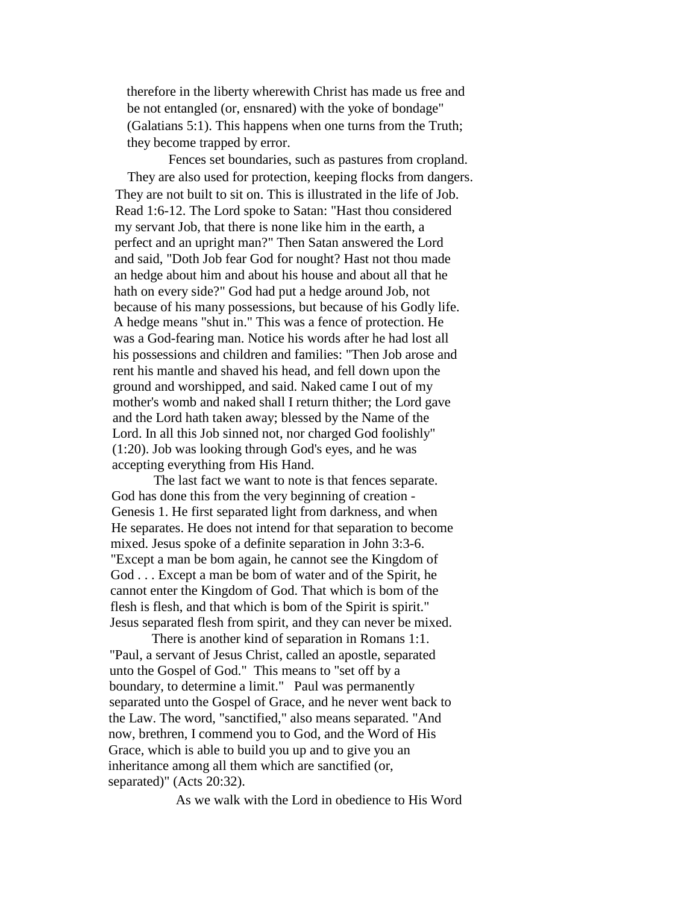therefore in the liberty wherewith Christ has made us free and be not entangled (or, ensnared) with the yoke of bondage" (Galatians 5:1). This happens when one turns from the Truth; they become trapped by error.

Fences set boundaries, such as pastures from cropland. They are also used for protection, keeping flocks from dangers. They are not built to sit on. This is illustrated in the life of Job. Read 1:6-12. The Lord spoke to Satan: "Hast thou considered my servant Job, that there is none like him in the earth, a perfect and an upright man?" Then Satan answered the Lord and said, "Doth Job fear God for nought? Hast not thou made an hedge about him and about his house and about all that he hath on every side?" God had put a hedge around Job, not because of his many possessions, but because of his Godly life. A hedge means "shut in." This was a fence of protection. He was a God-fearing man. Notice his words after he had lost all his possessions and children and families: "Then Job arose and rent his mantle and shaved his head, and fell down upon the ground and worshipped, and said. Naked came I out of my mother's womb and naked shall I return thither; the Lord gave and the Lord hath taken away; blessed by the Name of the Lord. In all this Job sinned not, nor charged God foolishly" (1:20). Job was looking through God's eyes, and he was accepting everything from His Hand.

The last fact we want to note is that fences separate. God has done this from the very beginning of creation - Genesis 1. He first separated light from darkness, and when He separates. He does not intend for that separation to become mixed. Jesus spoke of a definite separation in John 3:3-6. "Except a man be bom again, he cannot see the Kingdom of God . . . Except a man be bom of water and of the Spirit, he cannot enter the Kingdom of God. That which is bom of the flesh is flesh, and that which is bom of the Spirit is spirit." Jesus separated flesh from spirit, and they can never be mixed.

There is another kind of separation in Romans 1:1. "Paul, a servant of Jesus Christ, called an apostle, separated unto the Gospel of God." This means to "set off by a boundary, to determine a limit." Paul was permanently separated unto the Gospel of Grace, and he never went back to the Law. The word, "sanctified," also means separated. "And now, brethren, I commend you to God, and the Word of His Grace, which is able to build you up and to give you an inheritance among all them which are sanctified (or, separated)" (Acts 20:32).

As we walk with the Lord in obedience to His Word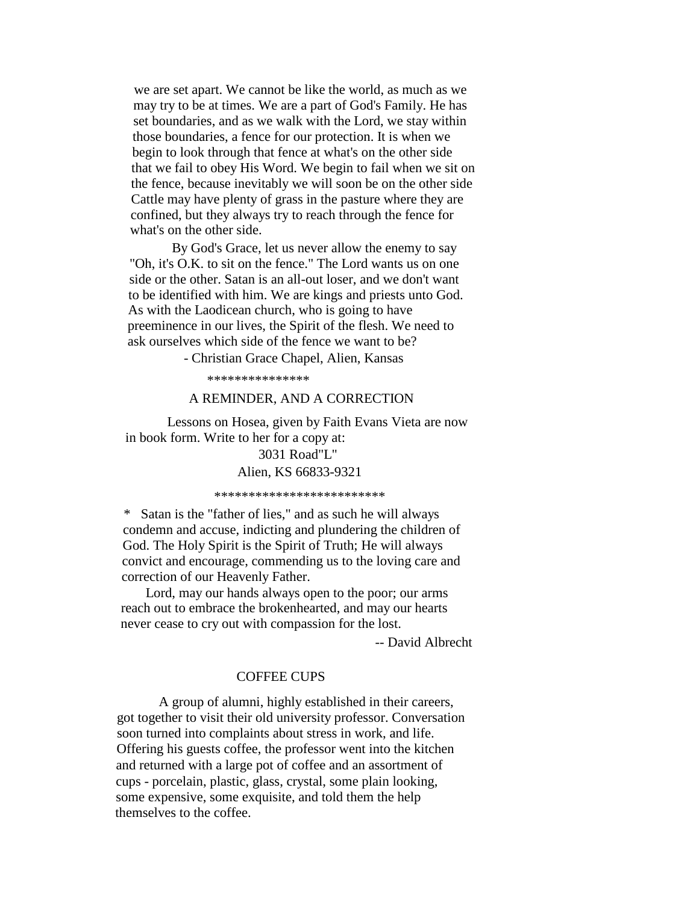we are set apart. We cannot be like the world, as much as we may try to be at times. We are a part of God's Family. He has set boundaries, and as we walk with the Lord, we stay within those boundaries, a fence for our protection. It is when we begin to look through that fence at what's on the other side that we fail to obey His Word. We begin to fail when we sit on the fence, because inevitably we will soon be on the other side Cattle may have plenty of grass in the pasture where they are confined, but they always try to reach through the fence for what's on the other side.

By God's Grace, let us never allow the enemy to say "Oh, it's O.K. to sit on the fence." The Lord wants us on one side or the other. Satan is an all-out loser, and we don't want to be identified with him. We are kings and priests unto God. As with the Laodicean church, who is going to have preeminence in our lives, the Spirit of the flesh. We need to ask ourselves which side of the fence we want to be?

- Christian Grace Chapel, Alien, Kansas

\*\*\*\*\*\*\*\*\*\*\*\*\*\*\*

### A REMINDER, AND A CORRECTION

Lessons on Hosea, given by Faith Evans Vieta are now in book form. Write to her for a copy at:

## 3031 Road"L" Alien, KS 66833-9321

\*\*\*\*\*\*\*\*\*\*\*\*\*\*\*\*\*\*\*\*\*\*\*\*\*

\* Satan is the "father of lies," and as such he will always condemn and accuse, indicting and plundering the children of God. The Holy Spirit is the Spirit of Truth; He will always convict and encourage, commending us to the loving care and correction of our Heavenly Father.

Lord, may our hands always open to the poor; our arms reach out to embrace the brokenhearted, and may our hearts never cease to cry out with compassion for the lost.

-- David Albrecht

### COFFEE CUPS

A group of alumni, highly established in their careers, got together to visit their old university professor. Conversation soon turned into complaints about stress in work, and life. Offering his guests coffee, the professor went into the kitchen and returned with a large pot of coffee and an assortment of cups - porcelain, plastic, glass, crystal, some plain looking, some expensive, some exquisite, and told them the help themselves to the coffee.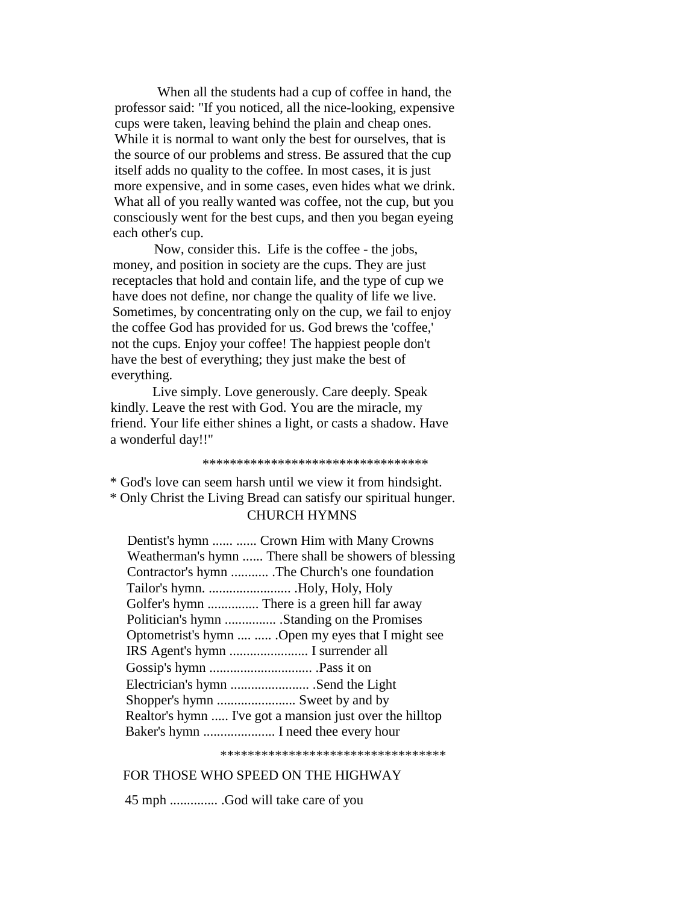When all the students had a cup of coffee in hand, the professor said: "If you noticed, all the nice-looking, expensive cups were taken, leaving behind the plain and cheap ones. While it is normal to want only the best for ourselves, that is the source of our problems and stress. Be assured that the cup itself adds no quality to the coffee. In most cases, it is just more expensive, and in some cases, even hides what we drink. What all of you really wanted was coffee, not the cup, but you consciously went for the best cups, and then you began eyeing each other's cup.

Now, consider this. Life is the coffee - the jobs, money, and position in society are the cups. They are just receptacles that hold and contain life, and the type of cup we have does not define, nor change the quality of life we live. Sometimes, by concentrating only on the cup, we fail to enjoy the coffee God has provided for us. God brews the 'coffee,' not the cups. Enjoy your coffee! The happiest people don't have the best of everything; they just make the best of everything.

Live simply. Love generously. Care deeply. Speak kindly. Leave the rest with God. You are the miracle, my friend. Your life either shines a light, or casts a shadow. Have a wonderful day!!"

#### \*\*\*\*\*\*\*\*\*\*\*\*\*\*\*\*\*\*\*\*\*\*\*\*\*\*\*\*\*\*\*\*\*

\* God's love can seem harsh until we view it from hindsight. \* Only Christ the Living Bread can satisfy our spiritual hunger. CHURCH HYMNS

| Dentist's hymn   Crown Him with Many Crowns              |
|----------------------------------------------------------|
| Weatherman's hymn  There shall be showers of blessing    |
| Contractor's hymn  The Church's one foundation           |
|                                                          |
| Golfer's hymn  There is a green hill far away            |
| Politician's hymn  .Standing on the Promises             |
| Optometrist's hymn   Open my eyes that I might see       |
|                                                          |
|                                                          |
|                                                          |
| Shopper's hymn  Sweet by and by                          |
| Realtor's hymn  I've got a mansion just over the hilltop |
| Baker's hymn  I need thee every hour                     |

\*\*\*\*\*\*\*\*\*\*\*\*\*\*\*\*\*\*\*\*\*\*\*\*\*\*\*\*\*\*\*\*\*

### FOR THOSE WHO SPEED ON THE HIGHWAY

45 mph .............. .God will take care of you